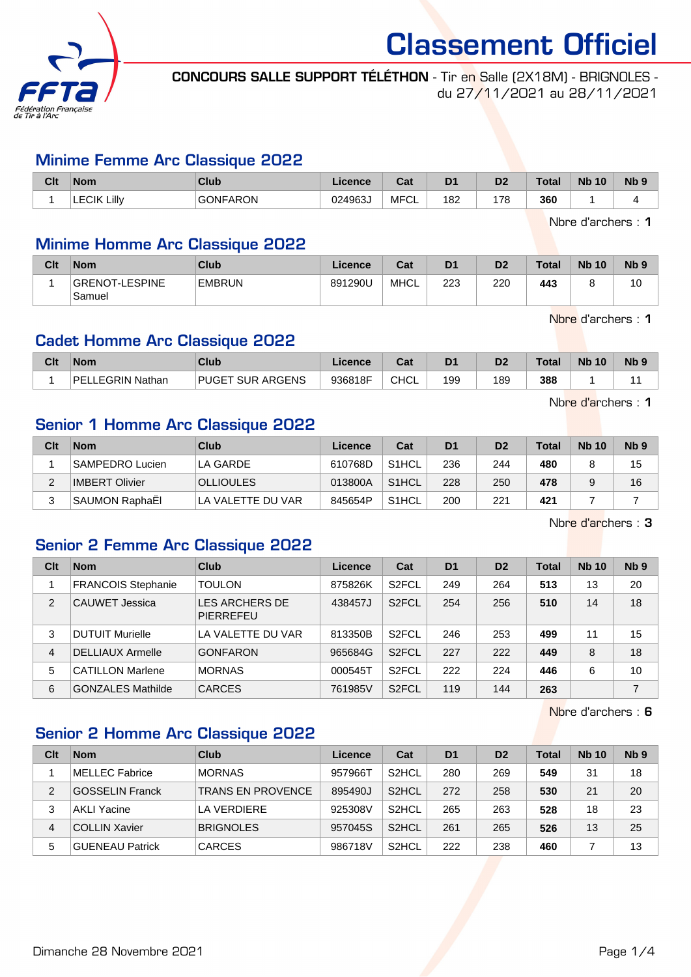

CONCOURS SALLE SUPPORT TÉLÉTHON - Tir en Salle (2X18M) - BRIGNOLES du 27/11/2021 au 28/11/2021

#### Minime Femme Arc Classique 2022

| Clt | <b>Nom</b>         | Club            | Licence | <b>DAL</b><br>ual | D <sub>1</sub> | D <sub>2</sub> | <b>Total</b> | <b>Nb</b><br>10 | N <sub>b</sub> <sub>9</sub> |
|-----|--------------------|-----------------|---------|-------------------|----------------|----------------|--------------|-----------------|-----------------------------|
|     | <b>LECIK Lilly</b> | <b>GONFARON</b> | 024963J | <b>MFCL</b>       | 182            | 179            | 360          |                 |                             |

Nbre d'archers : 1

#### Minime Homme Arc Classique 2022

| Clt | <b>Nom</b>               | <b>Club</b>   | Licence | Cat  | D <sub>1</sub> | D <sub>2</sub> | <b>Total</b> | <b>Nb 10</b> | N <sub>b</sub> <sub>9</sub> |
|-----|--------------------------|---------------|---------|------|----------------|----------------|--------------|--------------|-----------------------------|
|     | GRENOT-LESPINE<br>Samuel | <b>EMBRUN</b> | 891290U | MHCL | 223            | 220            | 443          |              | ιu                          |

Nbre d'archers : 1

#### Cadet Homme Arc Classique 2022

| Clt | <b>Nom</b>           | Club                    | Licence | Tot.<br>uai | D <sub>1</sub> | n <sub>o</sub> | Total | <b>N<sub>b</sub></b><br>10 | N <sub>b</sub> <sub>9</sub> |
|-----|----------------------|-------------------------|---------|-------------|----------------|----------------|-------|----------------------------|-----------------------------|
|     | LEGRIN Nathan<br>DEI | <b>PUGET SUR ARGENS</b> | 936818F | <b>CHCL</b> | 199            | 189            | 388   |                            |                             |

Nbre d'archers : 1

#### Senior 1 Homme Arc Classique 2022

| Clt | <b>Nom</b>            | Club              | Licence | Cat                | D <sub>1</sub> | D <sub>2</sub> | <b>Total</b> | <b>Nb 10</b> | N <sub>b</sub> <sub>9</sub> |
|-----|-----------------------|-------------------|---------|--------------------|----------------|----------------|--------------|--------------|-----------------------------|
|     | SAMPEDRO Lucien       | LA GARDE          | 610768D | S <sub>1</sub> HCL | 236            | 244            | 480          |              | 15                          |
|     | <b>IMBERT Olivier</b> | <b>OLLIOULES</b>  | 013800A | S <sub>1</sub> HCL | 228            | 250            | 478          |              | 16                          |
|     | <b>SAUMON RaphaEI</b> | LA VALETTE DU VAR | 845654P | S <sub>1</sub> HCL | 200            | 221            | 421          |              |                             |

Nbre d'archers : 3

#### Senior 2 Femme Arc Classique 2022

| Clt            | <b>Nom</b>                | Club                               | Licence | Cat                | D <sub>1</sub> | D <sub>2</sub> | <b>Total</b> | <b>Nb 10</b> | Nb <sub>9</sub> |
|----------------|---------------------------|------------------------------------|---------|--------------------|----------------|----------------|--------------|--------------|-----------------|
|                | <b>FRANCOIS Stephanie</b> | <b>TOULON</b>                      | 875826K | S <sub>2</sub> FCL | 249            | 264            | 513          | 13           | 20              |
| $\overline{2}$ | CAUWET Jessica            | LES ARCHERS DE<br><b>PIERREFEU</b> | 438457J | S <sub>2</sub> FCL | 254            | 256            | 510          | 14           | 18              |
| 3              | <b>DUTUIT Murielle</b>    | LA VALETTE DU VAR                  | 813350B | S <sub>2</sub> FCL | 246            | 253            | 499          | 11           | 15              |
| 4              | <b>DELLIAUX Armelle</b>   | <b>GONFARON</b>                    | 965684G | S <sub>2</sub> FCL | 227            | 222            | 449          | 8            | 18              |
| 5              | <b>CATILLON Marlene</b>   | <b>MORNAS</b>                      | 000545T | S <sub>2</sub> FCL | 222            | 224            | 446          | 6            | 10              |
| 6              | <b>GONZALES Mathilde</b>  | <b>CARCES</b>                      | 761985V | S <sub>2</sub> FCL | 119            | 144            | 263          |              | 7               |

Nbre d'archers : 6

#### Senior 2 Homme Arc Classique 2022

| Clt | <b>Nom</b>             | Club                     | Licence | Cat                | D <sub>1</sub> | D <sub>2</sub> | <b>Total</b> | <b>Nb 10</b> | N <sub>b</sub> <sub>9</sub> |
|-----|------------------------|--------------------------|---------|--------------------|----------------|----------------|--------------|--------------|-----------------------------|
|     | <b>MELLEC Fabrice</b>  | <b>MORNAS</b>            | 957966T | S <sub>2</sub> HCL | 280            | 269            | 549          | 31           | 18                          |
| 2   | <b>GOSSELIN Franck</b> | <b>TRANS EN PROVENCE</b> | 895490J | S <sub>2</sub> HCL | 272            | 258            | 530          | 21           | 20                          |
| 3   | <b>AKLI Yacine</b>     | LA VERDIERE              | 925308V | S <sub>2</sub> HCL | 265            | 263            | 528          | 18           | 23                          |
| 4   | <b>COLLIN Xavier</b>   | <b>BRIGNOLES</b>         | 957045S | S <sub>2</sub> HCL | 261            | 265            | 526          | 13           | 25                          |
| 5   | <b>GUENEAU Patrick</b> | <b>CARCES</b>            | 986718V | S <sub>2</sub> HCL | 222            | 238            | 460          |              | 13                          |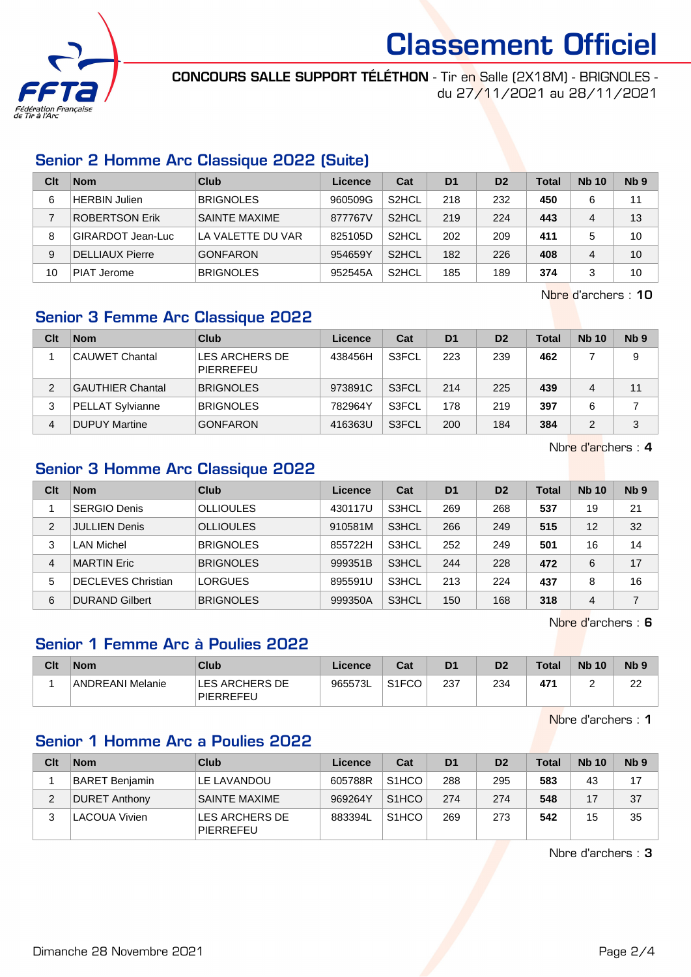

CONCOURS SALLE SUPPORT TÉLÉTHON - Tir en Salle (2X18M) - BRIGNOLES du 27/11/2021 au 28/11/2021

### Senior 2 Homme Arc Classique 2022 (Suite)

| Clt | <b>Nom</b>             | Club                 | Licence | Cat                | D <sub>1</sub> | D <sub>2</sub> | Total | <b>Nb 10</b> | Nb <sub>9</sub> |
|-----|------------------------|----------------------|---------|--------------------|----------------|----------------|-------|--------------|-----------------|
| 6   | HERBIN Julien          | <b>BRIGNOLES</b>     | 960509G | S <sub>2</sub> HCL | 218            | 232            | 450   | 6            | 11              |
|     | ROBERTSON Erik         | <b>SAINTE MAXIME</b> | 877767V | S <sub>2</sub> HCL | 219            | 224            | 443   | 4            | 13              |
| 8   | GIRARDOT Jean-Luc      | LA VALETTE DU VAR    | 825105D | S <sub>2</sub> HCL | 202            | 209            | 411   |              | 10              |
| 9   | <b>DELLIAUX Pierre</b> | <b>GONFARON</b>      | 954659Y | S <sub>2</sub> HCL | 182            | 226            | 408   |              | 10              |
| 10  | PIAT Jerome            | <b>BRIGNOLES</b>     | 952545A | S <sub>2</sub> HCL | 185            | 189            | 374   |              | 10              |

Nbre d'archers : 10

## Senior 3 Femme Arc Classique 2022

| Clt | <b>Nom</b>              | Club                        | Licence | Cat   | D <sub>1</sub> | D <sub>2</sub> | Total | <b>Nb 10</b> | Nb <sub>9</sub> |
|-----|-------------------------|-----------------------------|---------|-------|----------------|----------------|-------|--------------|-----------------|
|     | <b>CAUWET Chantal</b>   | LES ARCHERS DE<br>PIERREFEU | 438456H | S3FCL | 223            | 239            | 462   |              | 9               |
| 2   | <b>GAUTHIER Chantal</b> | <b>BRIGNOLES</b>            | 973891C | S3FCL | 214            | 225            | 439   | 4            | 11              |
| 3   | <b>PELLAT Sylvianne</b> | <b>BRIGNOLES</b>            | 782964Y | S3FCL | 178            | 219            | 397   | 6            |                 |
| 4   | <b>DUPUY Martine</b>    | <b>GONFARON</b>             | 416363U | S3FCL | 200            | 184            | 384   |              | 3               |

Nbre d'archers : 4

## Senior 3 Homme Arc Classique 2022

| Clt            | <b>Nom</b>                | Club             | Licence | Cat   | D <sub>1</sub> | D <sub>2</sub> | Total | <b>Nb 10</b> | Nb <sub>9</sub> |
|----------------|---------------------------|------------------|---------|-------|----------------|----------------|-------|--------------|-----------------|
|                | <b>SERGIO Denis</b>       | <b>OLLIOULES</b> | 430117U | S3HCL | 269            | 268            | 537   | 19           | 21              |
| $\overline{2}$ | <b>JULLIEN Denis</b>      | <b>OLLIOULES</b> | 910581M | S3HCL | 266            | 249            | 515   | 12           | 32              |
| 3              | LAN Michel                | <b>BRIGNOLES</b> | 855722H | S3HCL | 252            | 249            | 501   | 16           | 14              |
| 4              | <b>MARTIN Eric</b>        | <b>BRIGNOLES</b> | 999351B | S3HCL | 244            | 228            | 472   | 6            | 17              |
| 5              | <b>DECLEVES Christian</b> | <b>LORGUES</b>   | 895591U | S3HCL | 213            | 224            | 437   | 8            | 16              |
| 6              | <b>DURAND Gilbert</b>     | <b>BRIGNOLES</b> | 999350A | S3HCL | 150            | 168            | 318   | 4            | $\overline{7}$  |

Nbre d'archers : 6

## Senior 1 Femme Arc à Poulies 2022

| Clt | <b>Nom</b>       | Club                        | Licence | Cat                | D <sub>1</sub> | D <sub>2</sub> | <b>Total</b> | <b>Nb 10</b> | N <sub>b</sub> <sub>9</sub> |
|-----|------------------|-----------------------------|---------|--------------------|----------------|----------------|--------------|--------------|-----------------------------|
|     | ANDREANI Melanie | LES ARCHERS DE<br>PIERREFEU | 965573L | S <sub>1</sub> FCO | 237            | 234            | 47'          |              | ົດຕ<br>∠∠                   |

Nbre d'archers : 1

#### Senior 1 Homme Arc a Poulies 2022

| Clt | <b>Nom</b>            | Club                        | Licence | Cat                | D <sub>1</sub> | D <sub>2</sub> | <b>Total</b> | <b>Nb 10</b> | N <sub>b</sub> <sub>9</sub> |
|-----|-----------------------|-----------------------------|---------|--------------------|----------------|----------------|--------------|--------------|-----------------------------|
|     | <b>BARET Benjamin</b> | LE LAVANDOU                 | 605788R | S <sub>1</sub> HCO | 288            | 295            | 583          | 43           | 17                          |
|     | <b>DURET Anthony</b>  | <b>SAINTE MAXIME</b>        | 969264Y | S <sub>1</sub> HCO | 274            | 274            | 548          | 17           | 37                          |
|     | <b>LACOUA Vivien</b>  | LES ARCHERS DE<br>PIERREFEU | 883394L | S <sub>1</sub> HCO | 269            | 273            | 542          | 15           | 35                          |

Nbre d'archers : 3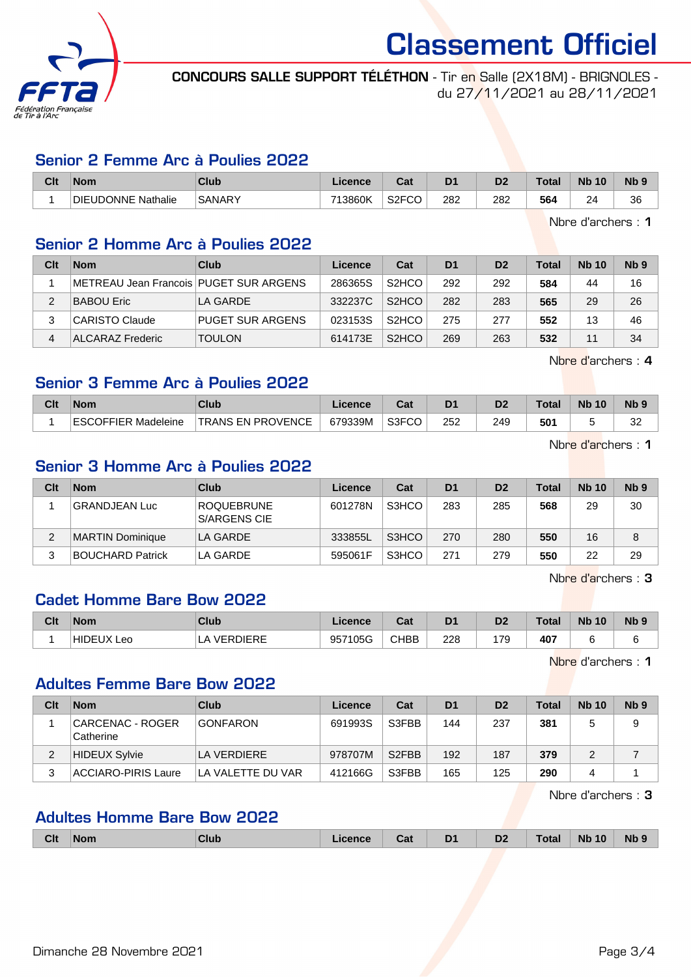

CONCOURS SALLE SUPPORT TÉLÉTHON - Tir en Salle (2X18M) - BRIGNOLES du 27/11/2021 au 28/11/2021

#### Senior 2 Femme Arc à Poulies 2022

| Clt | 'Nom               | Club          | ∟icence | <b>Both</b><br>uai       | D <sub>1</sub> | n.  | Гоtа | <b>N<sub>b</sub></b><br>10 | N <sub>b</sub> 9 |
|-----|--------------------|---------------|---------|--------------------------|----------------|-----|------|----------------------------|------------------|
|     | DIEUDONNE Nathalie | <b>SANARY</b> | 713860K | S <sub>2</sub> FCC<br>ט- | 282            | 282 | 564  | 2 <sub>A</sub><br>~        | 36               |

Nbre d'archers : 1

#### Senior 2 Homme Arc à Poulies 2022

| Clt | <b>Nom</b>                             | Club                    | Licence | Cat                             | D <sub>1</sub> | D <sub>2</sub> | <b>Total</b> | <b>Nb 10</b> | Nb <sub>9</sub> |
|-----|----------------------------------------|-------------------------|---------|---------------------------------|----------------|----------------|--------------|--------------|-----------------|
|     | METREAU Jean Francois PUGET SUR ARGENS |                         | 286365S | S <sub>2</sub> H <sub>CO</sub>  | 292            | 292            | 584          | 44           | 16              |
|     | <b>BABOU Eric</b>                      | LA GARDE                | 332237C | S <sub>2</sub> H <sub>C</sub> O | 282            | 283            | 565          | 29           | 26              |
|     | <b>CARISTO Claude</b>                  | <b>PUGET SUR ARGENS</b> | 023153S | S <sub>2</sub> H <sub>CO</sub>  | 275            | 277            | 552          | 13           | 46              |
| 4   | ALCARAZ Frederic                       | <b>TOULON</b>           | 614173E | S <sub>2</sub> HCO              | 269            | 263            | 532          | 11           | 34              |

Nbre d'archers : 4

#### Senior 3 Femme Arc à Poulies 2022

| Clt | <b>Nom</b>          | Club                     | ∟icence | <b>Bat</b> | D <sub>1</sub> |     | <b>Total</b> | <b>N<sub>b</sub></b> | N <sub>b</sub> <sub>9</sub> |
|-----|---------------------|--------------------------|---------|------------|----------------|-----|--------------|----------------------|-----------------------------|
|     | ESCOFFIER Madeleine | <b>TRANS EN PROVENCE</b> | 679339M | S3FCO      | 252            | 249 | 501          |                      | oc<br>ےں                    |

Nbre d'archers : 1

#### Senior 3 Homme Arc à Poulies 2022

| Clt | <b>Nom</b>              | Club                              | Licence | Cat   | D <sub>1</sub> | D <sub>2</sub> | <b>Total</b> | <b>Nb 10</b> | N <sub>b</sub> <sub>9</sub> |
|-----|-------------------------|-----------------------------------|---------|-------|----------------|----------------|--------------|--------------|-----------------------------|
|     | <b>GRANDJEAN Luc</b>    | <b>ROQUEBRUNE</b><br>S/ARGENS CIE | 601278N | S3HCO | 283            | 285            | 568          | 29           | 30                          |
|     | <b>MARTIN Dominique</b> | LA GARDE                          | 333855L | S3HCO | 270            | 280            | 550          | 16           | 8                           |
| 3   | <b>BOUCHARD Patrick</b> | LA GARDE                          | 595061F | S3HCO | 271            | 279            | 550          | 22           | 29                          |

Nbre d'archers : 3

#### Cadet Homme Bare Bow 2022

| Clt | <b>Nom</b>                     | <b>Club</b>     | Licence      | Cat         | D <sub>1</sub> | n <sub>o</sub><br>D4 | Total | <b>N<sub>b</sub></b><br>10 | N <sub>b</sub> <sub>9</sub> |
|-----|--------------------------------|-----------------|--------------|-------------|----------------|----------------------|-------|----------------------------|-----------------------------|
|     | <b>HIDEUX</b><br>$\sim$<br>LUU | <b>VERDIERE</b> | 7105G<br>957 | <b>CHBB</b> | 228            | 7c<br>.              | 407   |                            |                             |

Nbre d'archers : 1

## Adultes Femme Bare Bow 2022

| Clt | <b>Nom</b>                     | Club              | Licence | Cat                | D <sub>1</sub> | D <sub>2</sub> | Total | <b>Nb 10</b> | Nb <sub>9</sub> |
|-----|--------------------------------|-------------------|---------|--------------------|----------------|----------------|-------|--------------|-----------------|
|     | ∣CARCENAC - ROGER<br>Catherine | <b>GONFARON</b>   | 691993S | S3FBB              | 144            | 237            | 381   |              | 9               |
|     | HIDEUX Sylvie                  | LA VERDIERE       | 978707M | S <sub>2</sub> FBB | 192            | 187            | 379   |              |                 |
|     | ACCIARO-PIRIS Laure            | LA VALETTE DU VAR | 412166G | S3FBB              | 165            | 125            | 290   | 4            |                 |

Nbre d'archers : 3

#### Adultes Homme Bare Bow 2022

| <b>Clt</b><br>D <sub>2</sub><br>D <sub>1</sub><br><b>Nb</b><br><b>Total</b><br><b>N<sub>b</sub></b><br>10<br>Club<br>Cat<br><b>Nom</b><br>∟icence<br>- |
|--------------------------------------------------------------------------------------------------------------------------------------------------------|
|--------------------------------------------------------------------------------------------------------------------------------------------------------|

Dimanche 28 Novembre 2021 **Page 3/4**